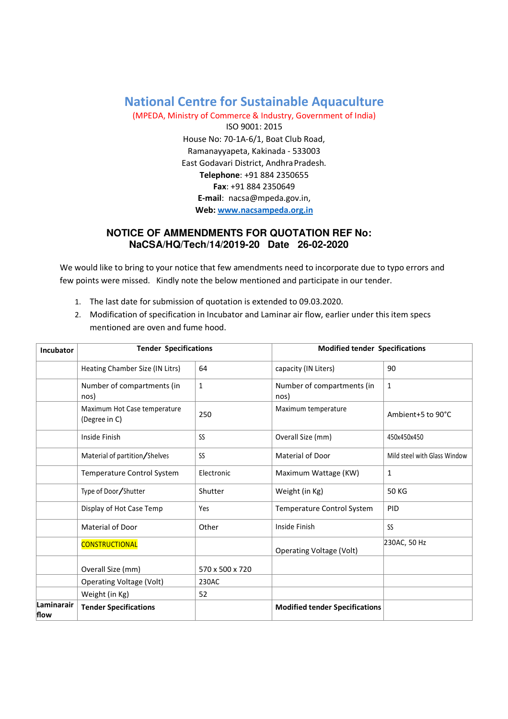## National Centre for Sustainable Aquaculture

(MPEDA, Ministry of Commerce & Industry, Government of India) ISO 9001: 2015 House No: 70-1A-6/1, Boat Club Road, Ramanayyapeta, Kakinada - 533003 East Godavari District, Andhra Pradesh. Telephone: +91 884 2350655 Fax: +91 884 2350649 E-mail: nacsa@mpeda.gov.in, Web: www.nacsampeda.org.in

## **NOTICE OF AMMENDMENTS FOR QUOTATION REF No: NaCSA/HQ/Tech/14/2019-20 Date 26-02-2020**

We would like to bring to your notice that few amendments need to incorporate due to typo errors and few points were missed. Kindly note the below mentioned and participate in our tender.

- 1. The last date for submission of quotation is extended to 09.03.2020.
- 2. Modification of specification in Incubator and Laminar air flow, earlier under this item specs mentioned are oven and fume hood.

| Incubator          | <b>Tender Specifications</b>                  |                 | <b>Modified tender Specifications</b> |                              |
|--------------------|-----------------------------------------------|-----------------|---------------------------------------|------------------------------|
|                    | Heating Chamber Size (IN Litrs)               | 64              | capacity (IN Liters)                  | 90                           |
|                    | Number of compartments (in<br>nos)            | $\mathbf{1}$    | Number of compartments (in<br>nos)    | $\mathbf{1}$                 |
|                    | Maximum Hot Case temperature<br>(Degree in C) | 250             | Maximum temperature                   | Ambient+5 to 90°C            |
|                    | Inside Finish                                 | SS              | Overall Size (mm)                     | 450x450x450                  |
|                    | Material of partition/Shelves                 | SS              | Material of Door                      | Mild steel with Glass Window |
|                    | Temperature Control System                    | Electronic      | Maximum Wattage (KW)                  | 1                            |
|                    | Type of Door/Shutter                          | Shutter         | Weight (in Kg)                        | <b>50 KG</b>                 |
|                    | Display of Hot Case Temp                      | Yes             | Temperature Control System            | <b>PID</b>                   |
|                    | Material of Door                              | Other           | Inside Finish                         | <b>SS</b>                    |
|                    | <b>CONSTRUCTIONAL</b>                         |                 | <b>Operating Voltage (Volt)</b>       | 230AC, 50 Hz                 |
|                    | Overall Size (mm)                             | 570 x 500 x 720 |                                       |                              |
|                    | Operating Voltage (Volt)                      | 230AC           |                                       |                              |
|                    | Weight (in Kg)                                | 52              |                                       |                              |
| Laminarair<br>flow | <b>Tender Specifications</b>                  |                 | <b>Modified tender Specifications</b> |                              |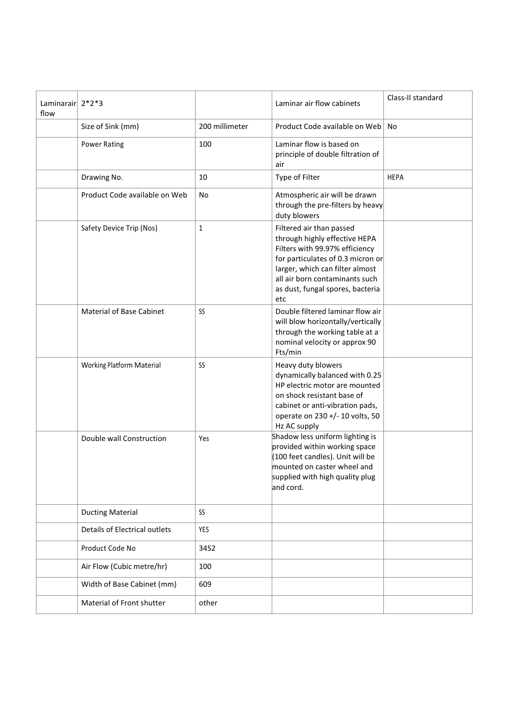| Laminarair $2*2*3$<br>flow |                                  |                | Laminar air flow cabinets                                                                                                                                                                                                                        | Class-II standard |
|----------------------------|----------------------------------|----------------|--------------------------------------------------------------------------------------------------------------------------------------------------------------------------------------------------------------------------------------------------|-------------------|
|                            | Size of Sink (mm)                | 200 millimeter | Product Code available on Web                                                                                                                                                                                                                    | <b>No</b>         |
|                            | <b>Power Rating</b>              | 100            | Laminar flow is based on<br>principle of double filtration of<br>air                                                                                                                                                                             |                   |
|                            | Drawing No.                      | 10             | Type of Filter                                                                                                                                                                                                                                   | <b>HEPA</b>       |
|                            | Product Code available on Web    | <b>No</b>      | Atmospheric air will be drawn<br>through the pre-filters by heavy<br>duty blowers                                                                                                                                                                |                   |
|                            | Safety Device Trip (Nos)         | $\mathbf{1}$   | Filtered air than passed<br>through highly effective HEPA<br>Filters with 99.97% efficiency<br>for particulates of 0.3 micron or<br>larger, which can filter almost<br>all air born contaminants such<br>as dust, fungal spores, bacteria<br>etc |                   |
|                            | <b>Material of Base Cabinet</b>  | SS             | Double filtered laminar flow air<br>will blow horizontally/vertically<br>through the working table at a<br>nominal velocity or approx 90<br>Fts/min                                                                                              |                   |
|                            | <b>Working Platform Material</b> | SS             | Heavy duty blowers<br>dynamically balanced with 0.25<br>HP electric motor are mounted<br>on shock resistant base of<br>cabinet or anti-vibration pads,<br>operate on 230 +/- 10 volts, 50<br>Hz AC supply                                        |                   |
|                            | Double wall Construction         | Yes            | Shadow less uniform lighting is<br>provided within working space<br>(100 feet candles). Unit will be<br>mounted on caster wheel and<br>supplied with high quality plug<br>and cord.                                                              |                   |
|                            | <b>Ducting Material</b>          | SS             |                                                                                                                                                                                                                                                  |                   |
|                            | Details of Electrical outlets    | YES            |                                                                                                                                                                                                                                                  |                   |
|                            | Product Code No                  | 3452           |                                                                                                                                                                                                                                                  |                   |
|                            | Air Flow (Cubic metre/hr)        | 100            |                                                                                                                                                                                                                                                  |                   |
|                            | Width of Base Cabinet (mm)       | 609            |                                                                                                                                                                                                                                                  |                   |
|                            | Material of Front shutter        | other          |                                                                                                                                                                                                                                                  |                   |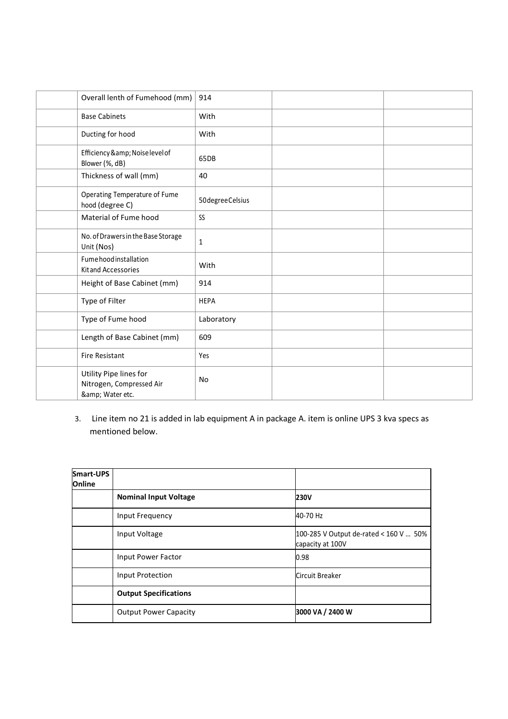| Overall lenth of Fumehood (mm)                                     | 914             |  |
|--------------------------------------------------------------------|-----------------|--|
| <b>Base Cabinets</b>                                               | With            |  |
| Ducting for hood                                                   | With            |  |
| Efficiency & Noise level of<br>Blower (%, dB)                      | 65DB            |  |
| Thickness of wall (mm)                                             | 40              |  |
| Operating Temperature of Fume<br>hood (degree C)                   | 50degreeCelsius |  |
| Material of Fume hood                                              | SS              |  |
| No. of Drawers in the Base Storage<br>Unit (Nos)                   | $\mathbf{1}$    |  |
| Fumehood installation<br>Kit and Accessories                       | With            |  |
| Height of Base Cabinet (mm)                                        | 914             |  |
| Type of Filter                                                     | <b>HEPA</b>     |  |
| Type of Fume hood                                                  | Laboratory      |  |
| Length of Base Cabinet (mm)                                        | 609             |  |
| <b>Fire Resistant</b>                                              | Yes             |  |
| Utility Pipe lines for<br>Nitrogen, Compressed Air<br>& Water etc. | No              |  |

3. Line item no 21 is added in lab equipment A in package A. item is online UPS 3 kva specs as mentioned below.

| Smart-UPS<br><b>Online</b> |                              |                                                            |
|----------------------------|------------------------------|------------------------------------------------------------|
|                            | <b>Nominal Input Voltage</b> | <b>230V</b>                                                |
|                            | Input Frequency              | 40-70 Hz                                                   |
|                            | Input Voltage                | 100-285 V Output de-rated < 160 V  50%<br>capacity at 100V |
|                            | Input Power Factor           | 0.98                                                       |
|                            | <b>Input Protection</b>      | Circuit Breaker                                            |
|                            | <b>Output Specifications</b> |                                                            |
|                            | <b>Output Power Capacity</b> | 3000 VA / 2400 W                                           |